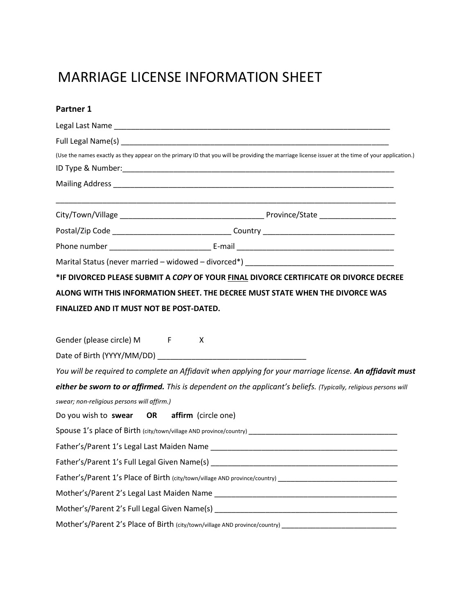## MARRIAGE LICENSE INFORMATION SHEET

| Partner 1                                                                                                                                        |  |
|--------------------------------------------------------------------------------------------------------------------------------------------------|--|
|                                                                                                                                                  |  |
|                                                                                                                                                  |  |
| (Use the names exactly as they appear on the primary ID that you will be providing the marriage license issuer at the time of your application.) |  |
|                                                                                                                                                  |  |
|                                                                                                                                                  |  |
|                                                                                                                                                  |  |
|                                                                                                                                                  |  |
|                                                                                                                                                  |  |
|                                                                                                                                                  |  |
| *IF DIVORCED PLEASE SUBMIT A COPY OF YOUR FINAL DIVORCE CERTIFICATE OR DIVORCE DECREE                                                            |  |
| ALONG WITH THIS INFORMATION SHEET. THE DECREE MUST STATE WHEN THE DIVORCE WAS                                                                    |  |
| FINALIZED AND IT MUST NOT BE POST-DATED.                                                                                                         |  |
|                                                                                                                                                  |  |
| Gender (please circle) M F<br>$\boldsymbol{\mathsf{X}}$                                                                                          |  |
|                                                                                                                                                  |  |
| You will be required to complete an Affidavit when applying for your marriage license. An affidavit must                                         |  |
| either be sworn to or affirmed. This is dependent on the applicant's beliefs. (Typically, religious persons will                                 |  |
| swear; non-religious persons will affirm.)                                                                                                       |  |
| Do you wish to swear OR affirm (circle one)                                                                                                      |  |
| Spouse 1's place of Birth (city/town/village AND province/country)                                                                               |  |
|                                                                                                                                                  |  |
|                                                                                                                                                  |  |
| Father's/Parent 1's Place of Birth (city/town/village AND province/country) __________________________________                                   |  |
|                                                                                                                                                  |  |
|                                                                                                                                                  |  |
| Mother's/Parent 2's Place of Birth (city/town/village AND province/country) __________________________________                                   |  |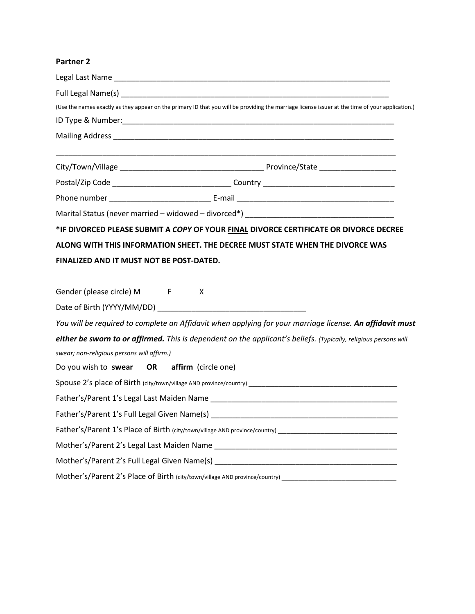## **Partner 2**

|                                             | (Use the names exactly as they appear on the primary ID that you will be providing the marriage license issuer at the time of your application.) |
|---------------------------------------------|--------------------------------------------------------------------------------------------------------------------------------------------------|
|                                             |                                                                                                                                                  |
|                                             |                                                                                                                                                  |
|                                             |                                                                                                                                                  |
|                                             |                                                                                                                                                  |
|                                             |                                                                                                                                                  |
|                                             |                                                                                                                                                  |
|                                             | *IF DIVORCED PLEASE SUBMIT A COPY OF YOUR FINAL DIVORCE CERTIFICATE OR DIVORCE DECREE                                                            |
|                                             | ALONG WITH THIS INFORMATION SHEET. THE DECREE MUST STATE WHEN THE DIVORCE WAS                                                                    |
| FINALIZED AND IT MUST NOT BE POST-DATED.    |                                                                                                                                                  |
|                                             |                                                                                                                                                  |
| Gender (please circle) M F                  | X                                                                                                                                                |
|                                             |                                                                                                                                                  |
|                                             | You will be required to complete an Affidavit when applying for your marriage license. An affidavit must                                         |
|                                             | either be sworn to or affirmed. This is dependent on the applicant's beliefs. (Typically, religious persons will                                 |
| swear; non-religious persons will affirm.)  |                                                                                                                                                  |
| Do you wish to swear OR affirm (circle one) |                                                                                                                                                  |
|                                             |                                                                                                                                                  |
|                                             |                                                                                                                                                  |
|                                             |                                                                                                                                                  |
|                                             | Father's/Parent 1's Place of Birth (city/town/village AND province/country) __________________________________                                   |
|                                             |                                                                                                                                                  |
|                                             |                                                                                                                                                  |
|                                             | Mother's/Parent 2's Place of Birth (city/town/village AND province/country) __________________________________                                   |